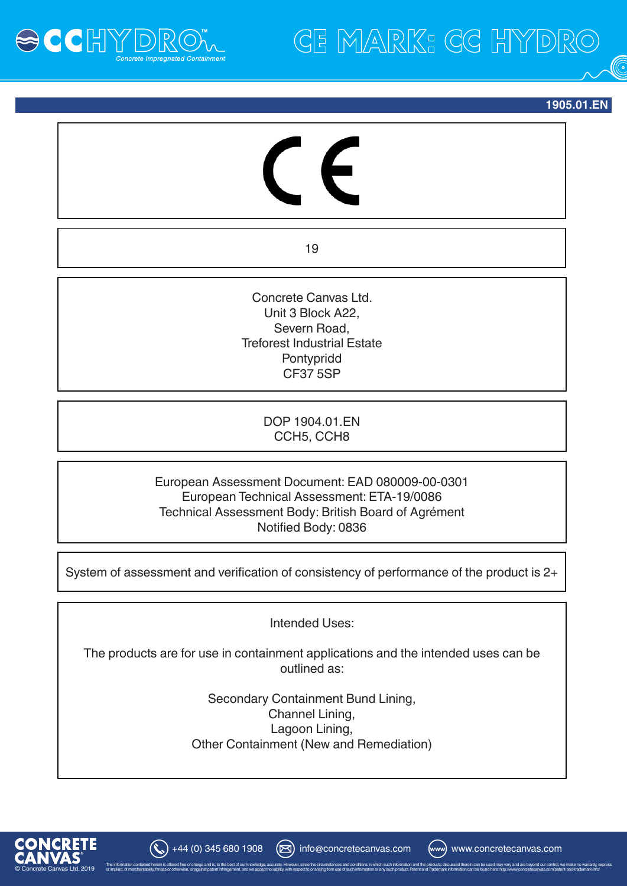

**CE MARK: CG HYDRO** 

**1905.01.EN**

19

Concrete Canvas Ltd. Unit 3 Block A22, Severn Road, Treforest Industrial Estate Pontypridd CF37 5SP

> DOP 1904.01.EN CCH5, CCH8

European Assessment Document: EAD 080009-00-0301 European Technical Assessment: ETA-19/0086 Technical Assessment Body: British Board of Agrément Notified Body: 0836

System of assessment and verification of consistency of performance of the product is 2+

Intended Uses:

The products are for use in containment applications and the intended uses can be outlined as:

> Secondary Containment Bund Lining, Channel Lining, Lagoon Lining, Other Containment (New and Remediation)

or implied, of merchantability, fitness or otherwise, or against patent infringement, and we accept no liability, with respect to or arising from use of such information or any such product. Patent and Trademark informatio